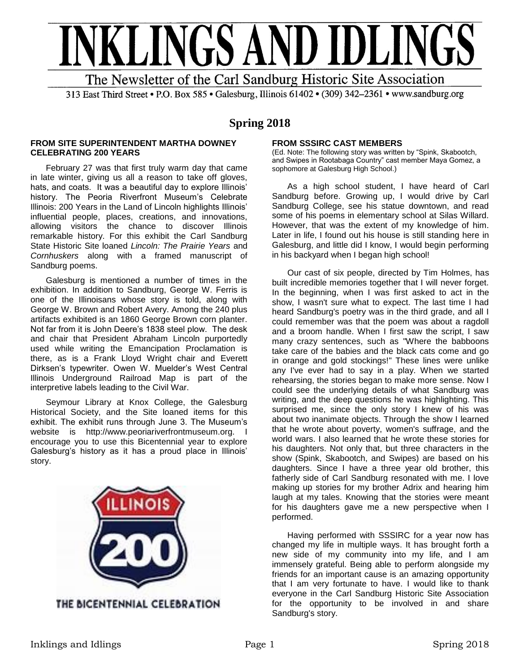

313 East Third Street • P.O. Box 585 • Galesburg, Illinois 61402 • (309) 342-2361 • www.sandburg.org

# **Spring 2018**

## **FROM SITE SUPERINTENDENT MARTHA DOWNEY CELEBRATING 200 YEARS**

February 27 was that first truly warm day that came in late winter, giving us all a reason to take off gloves, hats, and coats. It was a beautiful day to explore Illinois' history. The Peoria Riverfront Museum's Celebrate Illinois: 200 Years in the Land of Lincoln highlights Illinois' influential people, places, creations, and innovations, allowing visitors the chance to discover Illinois remarkable history. For this exhibit the Carl Sandburg State Historic Site loaned *Lincoln: The Prairie Years* and *Cornhuskers* along with a framed manuscript of Sandburg poems.

Galesburg is mentioned a number of times in the exhibition. In addition to Sandburg, George W. Ferris is one of the Illinoisans whose story is told, along with George W. Brown and Robert Avery. Among the 240 plus artifacts exhibited is an 1860 George Brown corn planter. Not far from it is John Deere's 1838 steel plow. The desk and chair that President Abraham Lincoln purportedly used while writing the Emancipation Proclamation is there, as is a Frank Lloyd Wright chair and Everett Dirksen's typewriter. Owen W. Muelder's West Central Illinois Underground Railroad Map is part of the interpretive labels leading to the Civil War.

Seymour Library at Knox College, the Galesburg Historical Society, and the Site loaned items for this exhibit. The exhibit runs through June 3. The Museum's website is http://www.peoriariverfrontmuseum.org. I encourage you to use this Bicentennial year to explore Galesburg's history as it has a proud place in Illinois' story.



# **FROM SSSIRC CAST MEMBERS**

(Ed. Note: The following story was written by "Spink, Skabootch, and Swipes in Rootabaga Country" cast member Maya Gomez, a sophomore at Galesburg High School.)

As a high school student, I have heard of Carl Sandburg before. Growing up, I would drive by Carl Sandburg College, see his statue downtown, and read some of his poems in elementary school at Silas Willard. However, that was the extent of my knowledge of him. Later in life, I found out his house is still standing here in Galesburg, and little did I know, I would begin performing in his backyard when I began high school!

Our cast of six people, directed by Tim Holmes, has built incredible memories together that I will never forget. In the beginning, when I was first asked to act in the show, I wasn't sure what to expect. The last time I had heard Sandburg's poetry was in the third grade, and all I could remember was that the poem was about a ragdoll and a broom handle. When I first saw the script, I saw many crazy sentences, such as "Where the babboons take care of the babies and the black cats come and go in orange and gold stockings!" These lines were unlike any I've ever had to say in a play. When we started rehearsing, the stories began to make more sense. Now I could see the underlying details of what Sandburg was writing, and the deep questions he was highlighting. This surprised me, since the only story I knew of his was about two inanimate objects. Through the show I learned that he wrote about poverty, women's suffrage, and the world wars. I also learned that he wrote these stories for his daughters. Not only that, but three characters in the show (Spink, Skabootch, and Swipes) are based on his daughters. Since I have a three year old brother, this fatherly side of Carl Sandburg resonated with me. I love making up stories for my brother Adrix and hearing him laugh at my tales. Knowing that the stories were meant for his daughters gave me a new perspective when I performed.

Having performed with SSSIRC for a year now has changed my life in multiple ways. It has brought forth a new side of my community into my life, and I am immensely grateful. Being able to perform alongside my friends for an important cause is an amazing opportunity that I am very fortunate to have. I would like to thank everyone in the Carl Sandburg Historic Site Association for the opportunity to be involved in and share Sandburg's story.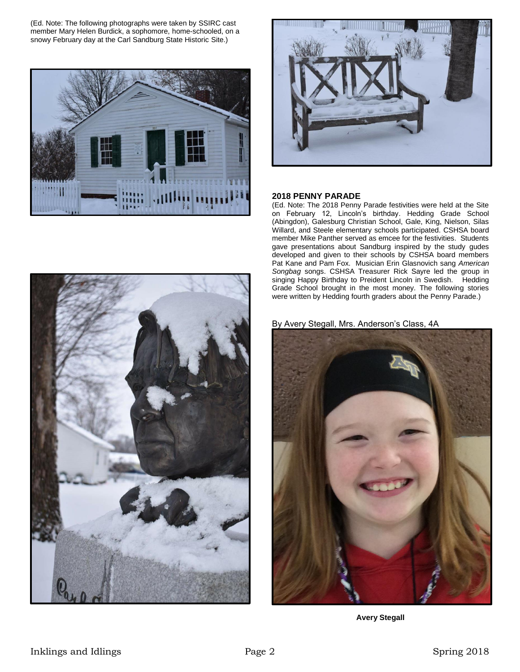(Ed. Note: The following photographs were taken by SSIRC cast member Mary Helen Burdick, a sophomore, home-schooled, on a snowy February day at the Carl Sandburg State Historic Site.)





#### **2018 PENNY PARADE**

(Ed. Note: The 2018 Penny Parade festivities were held at the Site on February 12, Lincoln's birthday. Hedding Grade School (Abingdon), Galesburg Christian School, Gale, King, Nielson, Silas Willard, and Steele elementary schools participated. CSHSA board member Mike Panther served as emcee for the festivities. Students gave presentations about Sandburg inspired by the study gudes developed and given to their schools by CSHSA board members Pat Kane and Pam Fox. Musician Erin Glasnovich sang *American Songbag* songs. CSHSA Treasurer Rick Sayre led the group in singing Happy Birthday to Preident Lincoln in Swedish. Hedding Grade School brought in the most money. The following stories were written by Hedding fourth graders about the Penny Parade.)



By Avery Stegall, Mrs. Anderson's Class, 4A



**Avery Stegall**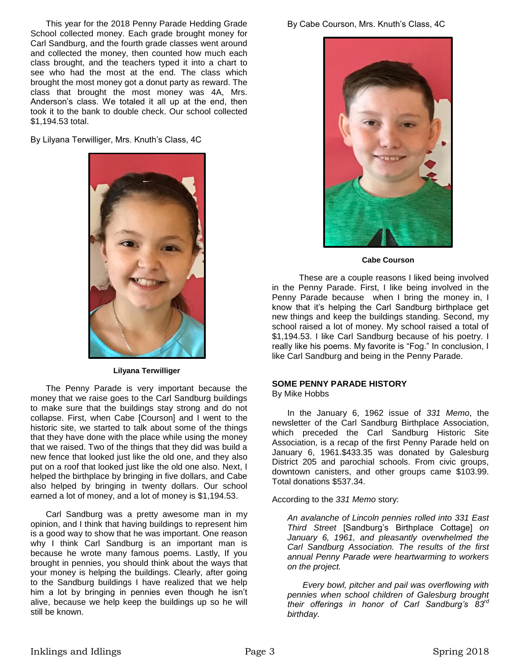This year for the 2018 Penny Parade Hedding Grade School collected money. Each grade brought money for Carl Sandburg, and the fourth grade classes went around and collected the money, then counted how much each class brought, and the teachers typed it into a chart to see who had the most at the end. The class which brought the most money got a donut party as reward. The class that brought the most money was 4A, Mrs. Anderson's class. We totaled it all up at the end, then took it to the bank to double check. Our school collected \$1,194.53 total.

By Lilyana Terwilliger, Mrs. Knuth's Class, 4C



#### **Lilyana Terwilliger**

The Penny Parade is very important because the money that we raise goes to the Carl Sandburg buildings to make sure that the buildings stay strong and do not collapse. First, when Cabe [Courson] and I went to the historic site, we started to talk about some of the things that they have done with the place while using the money that we raised. Two of the things that they did was build a new fence that looked just like the old one, and they also put on a roof that looked just like the old one also. Next, I helped the birthplace by bringing in five dollars, and Cabe also helped by bringing in twenty dollars. Our school earned a lot of money, and a lot of money is \$1,194.53.

Carl Sandburg was a pretty awesome man in my opinion, and I think that having buildings to represent him is a good way to show that he was important. One reason why I think Carl Sandburg is an important man is because he wrote many famous poems. Lastly, If you brought in pennies, you should think about the ways that your money is helping the buildings. Clearly, after going to the Sandburg buildings I have realized that we help him a lot by bringing in pennies even though he isn't alive, because we help keep the buildings up so he will still be known.



**Cabe Courson**

 These are a couple reasons I liked being involved in the Penny Parade. First, I like being involved in the Penny Parade because when I bring the money in, I know that it's helping the Carl Sandburg birthplace get new things and keep the buildings standing. Second, my school raised a lot of money. My school raised a total of \$1,194.53. I like Carl Sandburg because of his poetry. I really like his poems. My favorite is "Fog." In conclusion, I like Carl Sandburg and being in the Penny Parade.

#### **SOME PENNY PARADE HISTORY** By Mike Hobbs

In the January 6, 1962 issue of *331 Memo*, the newsletter of the Carl Sandburg Birthplace Association, which preceded the Carl Sandburg Historic Site Association, is a recap of the first Penny Parade held on January 6, 1961.\$433.35 was donated by Galesburg District 205 and parochial schools. From civic groups, downtown canisters, and other groups came \$103.99. Total donations \$537.34.

According to the *331 Memo* story:

*An avalanche of Lincoln pennies rolled into 331 East Third Street* [Sandburg's Birthplace Cottage] *on January 6, 1961, and pleasantly overwhelmed the Carl Sandburg Association. The results of the first annual Penny Parade were heartwarming to workers on the project.*

*Every bowl, pitcher and pail was overflowing with pennies when school children of Galesburg brought their offerings in honor of Carl Sandburg's 83rd birthday.*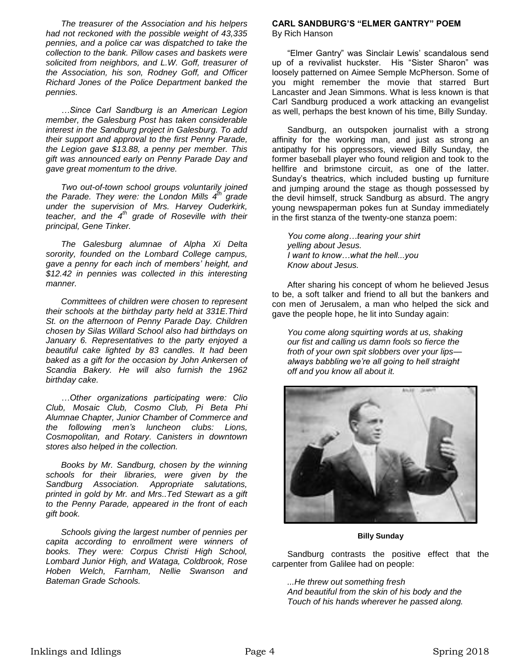*The treasurer of the Association and his helpers had not reckoned with the possible weight of 43,335 pennies, and a police car was dispatched to take the collection to the bank. Pillow cases and baskets were solicited from neighbors, and L.W. Goff, treasurer of the Association, his son, Rodney Goff, and Officer Richard Jones of the Police Department banked the pennies.*

*…Since Carl Sandburg is an American Legion member, the Galesburg Post has taken considerable interest in the Sandburg project in Galesburg. To add their support and approval to the first Penny Parade, the Legion gave \$13.88, a penny per member. This gift was announced early on Penny Parade Day and gave great momentum to the drive.*

*Two out-of-town school groups voluntarily joined the Parade. They were: the London Mills 4th grade under the supervision of Mrs. Harvey Ouderkirk, teacher, and the 4th grade of Roseville with their principal, Gene Tinker.*

*The Galesburg alumnae of Alpha Xi Delta sorority, founded on the Lombard College campus, gave a penny for each inch of members' height, and \$12.42 in pennies was collected in this interesting manner.*

*Committees of children were chosen to represent their schools at the birthday party held at 331E.Third St. on the afternoon of Penny Parade Day. Children chosen by Silas Willard School also had birthdays on January 6. Representatives to the party enjoyed a beautiful cake lighted by 83 candles. It had been baked as a gift for the occasion by John Ankersen of Scandia Bakery. He will also furnish the 1962 birthday cake.*

*…Other organizations participating were: Clio Club, Mosaic Club, Cosmo Club, Pi Beta Phi Alumnae Chapter, Junior Chamber of Commerce and the following men's luncheon clubs: Lions, Cosmopolitan, and Rotary. Canisters in downtown stores also helped in the collection.*

*Books by Mr. Sandburg, chosen by the winning schools for their libraries, were given by the Sandburg Association. Appropriate salutations, printed in gold by Mr. and Mrs..Ted Stewart as a gift to the Penny Parade, appeared in the front of each gift book.*

*Schools giving the largest number of pennies per capita according to enrollment were winners of books. They were: Corpus Christi High School, Lombard Junior High, and Wataga, Coldbrook, Rose Hoben Welch, Farnham, Nellie Swanson and Bateman Grade Schools.* 

## **CARL SANDBURG'S "ELMER GANTRY" POEM** By Rich Hanson

"Elmer Gantry" was Sinclair Lewis' scandalous send up of a revivalist huckster. His "Sister Sharon" was loosely patterned on Aimee Semple McPherson. Some of you might remember the movie that starred Burt Lancaster and Jean Simmons. What is less known is that Carl Sandburg produced a work attacking an evangelist as well, perhaps the best known of his time, Billy Sunday.

Sandburg, an outspoken journalist with a strong affinity for the working man, and just as strong an antipathy for his oppressors, viewed Billy Sunday, the former baseball player who found religion and took to the hellfire and brimstone circuit, as one of the latter. Sunday's theatrics, which included busting up furniture and jumping around the stage as though possessed by the devil himself, struck Sandburg as absurd. The angry young newspaperman pokes fun at Sunday immediately in the first stanza of the twenty-one stanza poem:

*You come along…tearing your shirt yelling about Jesus. I want to know…what the hell...you Know about Jesus.*

After sharing his concept of whom he believed Jesus to be, a soft talker and friend to all but the bankers and con men of Jerusalem, a man who helped the sick and gave the people hope, he lit into Sunday again:

*You come along squirting words at us, shaking our fist and calling us damn fools so fierce the froth of your own spit slobbers over your lips always babbling we're all going to hell straight off and you know all about it.*



## **Billy Sunday**

Sandburg contrasts the positive effect that the carpenter from Galilee had on people:

*...He threw out something fresh And beautiful from the skin of his body and the Touch of his hands wherever he passed along.*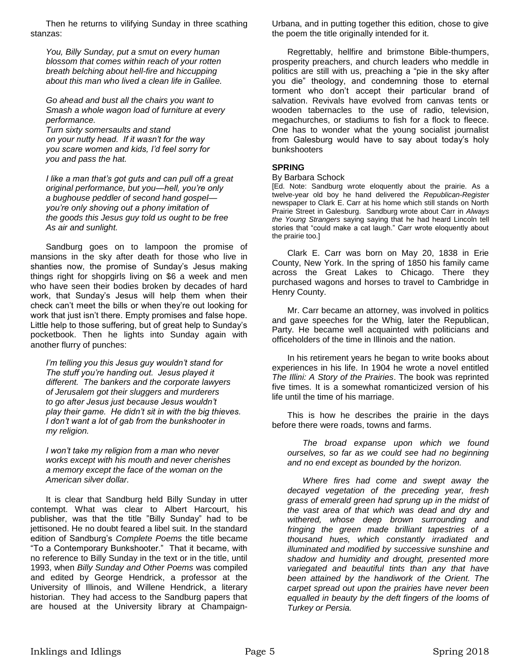Then he returns to vilifying Sunday in three scathing stanzas:

*You, Billy Sunday, put a smut on every human blossom that comes within reach of your rotten breath belching about hell-fire and hiccupping about this man who lived a clean life in Galilee.*

*Go ahead and bust all the chairs you want to Smash a whole wagon load of furniture at every performance.*

*Turn sixty somersaults and stand on your nutty head. If it wasn't for the way you scare women and kids, I'd feel sorry for you and pass the hat.*

*I like a man that's got guts and can pull off a great original performance, but you—hell, you're only a bughouse peddler of second hand gospel you're only shoving out a phony imitation of the goods this Jesus guy told us ought to be free As air and sunlight.*

Sandburg goes on to lampoon the promise of mansions in the sky after death for those who live in shanties now, the promise of Sunday's Jesus making things right for shopgirls living on \$6 a week and men who have seen their bodies broken by decades of hard work, that Sunday's Jesus will help them when their check can't meet the bills or when they're out looking for work that just isn't there. Empty promises and false hope. Little help to those suffering, but of great help to Sunday's pocketbook. Then he lights into Sunday again with another flurry of punches:

*I'm telling you this Jesus guy wouldn't stand for The stuff you're handing out. Jesus played it different. The bankers and the corporate lawyers of Jerusalem got their sluggers and murderers to go after Jesus just because Jesus wouldn't play their game. He didn't sit in with the big thieves. I don't want a lot of gab from the bunkshooter in my religion.*

*I won't take my religion from a man who never works except with his mouth and never cherishes a memory except the face of the woman on the American silver dollar.*

It is clear that Sandburg held Billy Sunday in utter contempt. What was clear to Albert Harcourt, his publisher, was that the title "Billy Sunday" had to be jettisoned. He no doubt feared a libel suit. In the standard edition of Sandburg's *Complete Poems* the title became "To a Contemporary Bunkshooter." That it became, with no reference to Billy Sunday in the text or in the title, until 1993, when *Billy Sunday and Other Poems* was compiled and edited by George Hendrick, a professor at the University of Illinois, and Willene Hendrick, a literary historian. They had access to the Sandburg papers that are housed at the University library at ChampaignUrbana, and in putting together this edition, chose to give the poem the title originally intended for it.

Regrettably, hellfire and brimstone Bible-thumpers, prosperity preachers, and church leaders who meddle in politics are still with us, preaching a "pie in the sky after you die" theology, and condemning those to eternal torment who don't accept their particular brand of salvation. Revivals have evolved from canvas tents or wooden tabernacles to the use of radio, television, megachurches, or stadiums to fish for a flock to fleece. One has to wonder what the young socialist journalist from Galesburg would have to say about today's holy bunkshooters

# **SPRING**

#### By Barbara Schock

[Ed. Note: Sandburg wrote eloquently about the prairie. As a twelve-year old boy he hand delivered the *Republican-Register*  newspaper to Clark E. Carr at his home which still stands on North Prairie Street in Galesburg. Sandburg wrote about Carr in *Always the Young Strangers* saying saying that he had heard Lincoln tell stories that "could make a cat laugh." Carr wrote eloquently about the prairie too.]

Clark E. Carr was born on May 20, 1838 in Erie County, New York. In the spring of 1850 his family came across the Great Lakes to Chicago. There they purchased wagons and horses to travel to Cambridge in Henry County.

Mr. Carr became an attorney, was involved in politics and gave speeches for the Whig, later the Republican, Party. He became well acquainted with politicians and officeholders of the time in Illinois and the nation.

In his retirement years he began to write books about experiences in his life. In 1904 he wrote a novel entitled *The Illini: A Story of the Prairies*. The book was reprinted five times. It is a somewhat romanticized version of his life until the time of his marriage.

This is how he describes the prairie in the days before there were roads, towns and farms.

*The broad expanse upon which we found ourselves, so far as we could see had no beginning and no end except as bounded by the horizon.*

*Where fires had come and swept away the decayed vegetation of the preceding year, fresh grass of emerald green had sprung up in the midst of the vast area of that which was dead and dry and withered, whose deep brown surrounding and fringing the green made brilliant tapestries of a thousand hues, which constantly irradiated and illuminated and modified by successive sunshine and shadow and humidity and drought, presented more variegated and beautiful tints than any that have been attained by the handiwork of the Orient. The carpet spread out upon the prairies have never been equalled in beauty by the deft fingers of the looms of Turkey or Persia.*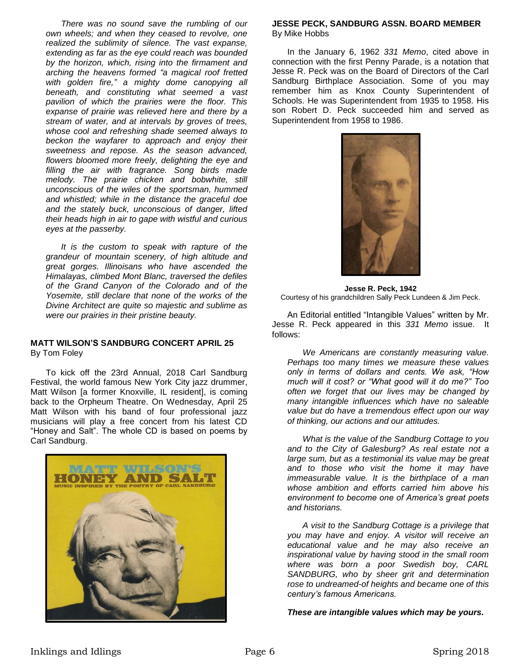*There was no sound save the rumbling of our own wheels; and when they ceased to revolve, one realized the sublimity of silence. The vast expanse, extending as far as the eye could reach was bounded by the horizon, which, rising into the firmament and arching the heavens formed "a magical roof fretted with golden fire," a mighty dome canopying all beneath, and constituting what seemed a vast pavilion of which the prairies were the floor. This expanse of prairie was relieved here and there by a stream of water, and at intervals by groves of trees, whose cool and refreshing shade seemed always to beckon the wayfarer to approach and enjoy their sweetness and repose. As the season advanced, flowers bloomed more freely, delighting the eye and filling the air with fragrance. Song birds made melody. The prairie chicken and bobwhite, still unconscious of the wiles of the sportsman, hummed and whistled; while in the distance the graceful doe and the stately buck, unconscious of danger, lifted their heads high in air to gape with wistful and curious eyes at the passerby.*

*It is the custom to speak with rapture of the grandeur of mountain scenery, of high altitude and great gorges. Illinoisans who have ascended the Himalayas, climbed Mont Blanc, traversed the defiles of the Grand Canyon of the Colorado and of the Yosemite, still declare that none of the works of the Divine Architect are quite so majestic and sublime as were our prairies in their pristine beauty.*

## **MATT WILSON'S SANDBURG CONCERT APRIL 25** By Tom Foley

To kick off the 23rd Annual, 2018 Carl Sandburg Festival, the world famous New York City jazz drummer, Matt Wilson [a former Knoxville, IL resident], is coming back to the Orpheum Theatre. On Wednesday, April 25 Matt Wilson with his band of four professional jazz musicians will play a free concert from his latest CD "Honey and Salt". The whole CD is based on poems by Carl Sandburg.



# **JESSE PECK, SANDBURG ASSN. BOARD MEMBER** By Mike Hobbs

In the January 6, 1962 *331 Memo*, cited above in connection with the first Penny Parade, is a notation that Jesse R. Peck was on the Board of Directors of the Carl Sandburg Birthplace Association. Some of you may remember him as Knox County Superintendent of Schools. He was Superintendent from 1935 to 1958. His son Robert D. Peck succeeded him and served as Superintendent from 1958 to 1986.



**Jesse R. Peck, 1942** Courtesy of his grandchildren Sally Peck Lundeen & Jim Peck.

An Editorial entitled "Intangible Values" written by Mr. Jesse R. Peck appeared in this *331 Memo* issue. It follows:

*We Americans are constantly measuring value. Perhaps too many times we measure these values only in terms of dollars and cents. We ask, "How much will it cost? or "What good will it do me?" Too often we forget that our lives may be changed by many intangible influences which have no saleable value but do have a tremendous effect upon our way of thinking, our actions and our attitudes.*

*What is the value of the Sandburg Cottage to you and to the City of Galesburg? As real estate not a large sum, but as a testimonial its value may be great and to those who visit the home it may have immeasurable value. It is the birthplace of a man whose ambition and efforts carried him above his environment to become one of America's great poets and historians.*

*A visit to the Sandburg Cottage is a privilege that you may have and enjoy. A visitor will receive an educational value and he may also receive an inspirational value by having stood in the small room where was born a poor Swedish boy, CARL SANDBURG, who by sheer grit and determination rose to undreamed-of heights and became one of this century's famous Americans.*

*These are intangible values which may be yours.*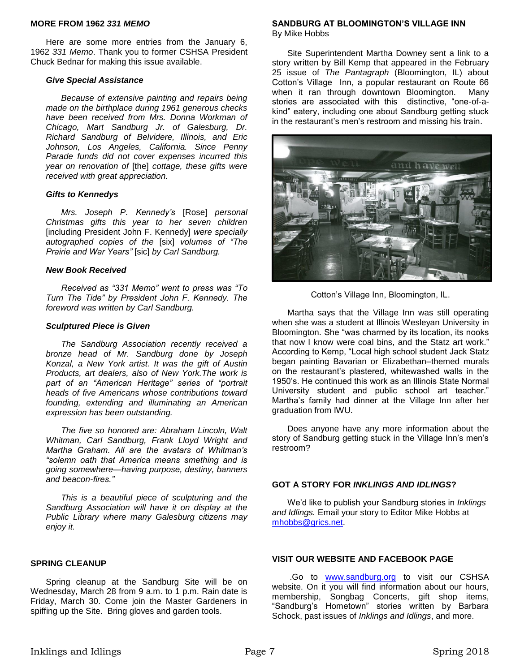## **MORE FROM 1962** *331 MEMO*

Here are some more entries from the January 6, 1962 *331 Memo*. Thank you to former CSHSA President Chuck Bednar for making this issue available.

## *Give Special Assistance*

*Because of extensive painting and repairs being made on the birthplace during 1961 generous checks have been received from Mrs. Donna Workman of Chicago, Mart Sandburg Jr. of Galesburg, Dr. Richard Sandburg of Belvidere, Illinois, and Eric Johnson, Los Angeles, California. Since Penny Parade funds did not cover expenses incurred this year on renovation of* [the] *cottage, these gifts were received with great appreciation.*

## *Gifts to Kennedys*

*Mrs. Joseph P. Kennedy's* [Rose] *personal Christmas gifts this year to her seven children*  [including President John F. Kennedy] *were specially autographed copies of the* [six] *volumes of "The Prairie and War Years"* [sic] *by Carl Sandburg.*

## *New Book Received*

*Received as "331 Memo" went to press was "To Turn The Tide" by President John F. Kennedy. The foreword was written by Carl Sandburg.*

## *Sculptured Piece is Given*

*The Sandburg Association recently received a bronze head of Mr. Sandburg done by Joseph Konzal, a New York artist. It was the gift of Austin Products, art dealers, also of New York.The work is part of an "American Heritage" series of "portrait heads of five Americans whose contributions toward founding, extending and illuminating an American expression has been outstanding.*

*The five so honored are: Abraham Lincoln, Walt Whitman, Carl Sandburg, Frank Lloyd Wright and Martha Graham. All are the avatars of Whitman's "solemn oath that America means smething and is going somewhere—having purpose, destiny, banners and beacon-fires."*

*This is a beautiful piece of sculpturing and the Sandburg Association will have it on display at the Public Library where many Galesburg citizens may enjoy it.* 

## **SPRING CLEANUP**

Spring cleanup at the Sandburg Site will be on Wednesday, March 28 from 9 a.m. to 1 p.m. Rain date is Friday, March 30. Come join the Master Gardeners in spiffing up the Site. Bring gloves and garden tools.

#### **SANDBURG AT BLOOMINGTON'S VILLAGE INN** By Mike Hobbs

Site Superintendent Martha Downey sent a link to a story written by Bill Kemp that appeared in the February 25 issue of *The Pantagraph* (Bloomington, IL) about Cotton's Village Inn, a popular restaurant on Route 66 when it ran through downtown Bloomington. Many stories are associated with this distinctive, "one-of-akind" eatery, including one about Sandburg getting stuck in the restaurant's men's restroom and missing his train.



Cotton's Village Inn, Bloomington, IL.

Martha says that the Village Inn was still operating when she was a student at Illinois Wesleyan University in Bloomington. She "was charmed by its location, its nooks that now I know were coal bins, and the Statz art work." According to Kemp, "Local high school student Jack Statz began painting Bavarian or Elizabethan–themed murals on the restaurant's plastered, whitewashed walls in the 1950's. He continued this work as an Illinois State Normal University student and public school art teacher." Martha's family had dinner at the Village Inn after her graduation from IWU.

Does anyone have any more information about the story of Sandburg getting stuck in the Village Inn's men's restroom?

#### **GOT A STORY FOR** *INKLINGS AND IDLINGS***?**

We'd like to publish your Sandburg stories in *Inklings and Idlings.* Email your story to Editor Mike Hobbs at [mhobbs@grics.net.](mailto:mhobbs@grics.net)

## **VISIT OUR WEBSITE AND FACEBOOK PAGE**

.Go to [www.sandburg.org](http://www.sandburg.org/) to visit our CSHSA website. On it you will find information about our hours, membership, Songbag Concerts, gift shop items, "Sandburg's Hometown" stories written by Barbara Schock, past issues of *Inklings and Idlings*, and more.